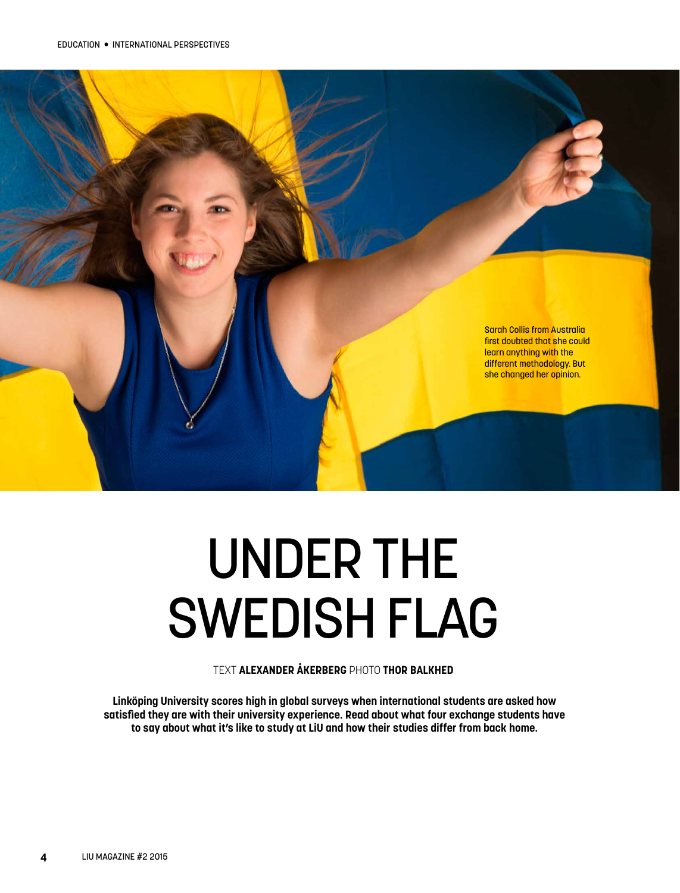

# UNDER THE SWEDISH FLAG

TEXT **ALEXANDER ÅKERBERG** PHOTO **THOR BALKHED**

**Linköping University scores high in global surveys when international students are asked how satisfied they are with their university experience. Read about what four exchange students have to say about what it's like to study at LiU and how their studies differ from back home.**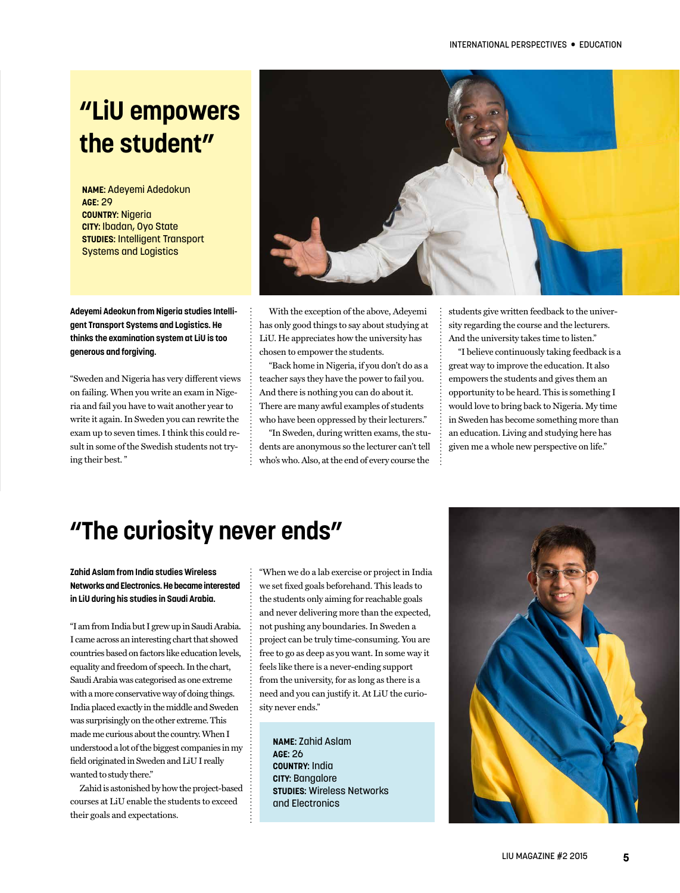# **"LiU empowers the student"**

**NAME:** Adeyemi Adedokun **AGE:** 29 **COUNTRY:** Nigeria **CITY:** Ibadan, Oyo State **STUDIES:** Intelligent Transport Systems and Logistics

**Adeyemi Adeokun from Nigeria studies Intelligent Transport Systems and Logistics. He thinks the examination system at LiU is too generous and forgiving.**

"Sweden and Nigeria has very different views on failing. When you write an exam in Nigeria and fail you have to wait another year to write it again. In Sweden you can rewrite the exam up to seven times. I think this could result in some of the Swedish students not trying their best. "



With the exception of the above, Adeyemi has only good things to say about studying at LiU. He appreciates how the university has chosen to empower the students.

"Back home in Nigeria, if you don't do as a teacher says they have the power to fail you. And there is nothing you can do about it. There are many awful examples of students who have been oppressed by their lecturers."

"In Sweden, during written exams, the students are anonymous so the lecturer can't tell who's who. Also, at the end of every course the

students give written feedback to the university regarding the course and the lecturers. And the university takes time to listen."

"I believe continuously taking feedback is a great way to improve the education. It also empowers the students and gives them an opportunity to be heard. This is something I would love to bring back to Nigeria. My time in Sweden has become something more than an education. Living and studying here has given me a whole new perspective on life."

#### **"The curiosity never ends"**

**Zahid Aslam from India studies Wireless Networks and Electronics. He became interested in LiU during his studies in Saudi Arabia.**

"I am from India but I grew up in Saudi Arabia. I came across an interesting chart that showed countries based on factors like education levels, equality and freedom of speech. In the chart, Saudi Arabia was categorised as one extreme with a more conservative way of doing things. India placed exactly in the middle and Sweden was surprisingly on the other extreme. This made me curious about the country. When I understood a lot of the biggest companies in my field originated in Sweden and LiU I really wanted to study there."

Zahid is astonished by how the project-based courses at LiU enable the students to exceed their goals and expectations.

"When we do a lab exercise or project in India we set fixed goals beforehand. This leads to the students only aiming for reachable goals and never delivering more than the expected, not pushing any boundaries. In Sweden a project can be truly time-consuming. You are free to go as deep as you want. In some way it feels like there is a never-ending support from the university, for as long as there is a need and you can justify it. At LiU the curiosity never ends."

**NAME:** Zahid Aslam **AGE:** 26 **COUNTRY:** India **CITY:** Bangalore **STUDIES:** Wireless Networks and Electronics